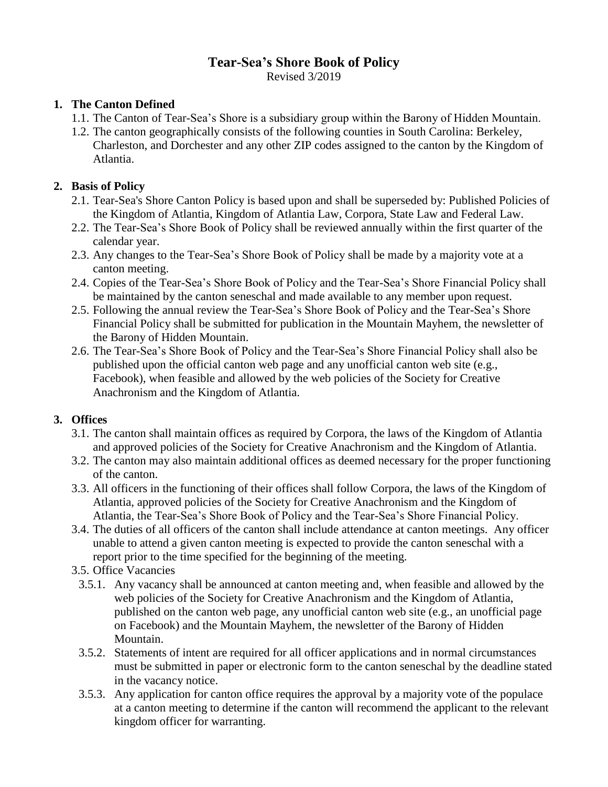# **Tear-Sea's Shore Book of Policy**

Revised 3/2019

#### **1. The Canton Defined**

- 1.1. The Canton of Tear-Sea's Shore is a subsidiary group within the Barony of Hidden Mountain.
- 1.2. The canton geographically consists of the following counties in South Carolina: Berkeley, Charleston, and Dorchester and any other ZIP codes assigned to the canton by the Kingdom of Atlantia.

## **2. Basis of Policy**

- 2.1. Tear-Sea's Shore Canton Policy is based upon and shall be superseded by: Published Policies of the Kingdom of Atlantia, Kingdom of Atlantia Law, Corpora, State Law and Federal Law.
- 2.2. The Tear-Sea's Shore Book of Policy shall be reviewed annually within the first quarter of the calendar year.
- 2.3. Any changes to the Tear-Sea's Shore Book of Policy shall be made by a majority vote at a canton meeting.
- 2.4. Copies of the Tear-Sea's Shore Book of Policy and the Tear-Sea's Shore Financial Policy shall be maintained by the canton seneschal and made available to any member upon request.
- 2.5. Following the annual review the Tear-Sea's Shore Book of Policy and the Tear-Sea's Shore Financial Policy shall be submitted for publication in the Mountain Mayhem, the newsletter of the Barony of Hidden Mountain.
- 2.6. The Tear-Sea's Shore Book of Policy and the Tear-Sea's Shore Financial Policy shall also be published upon the official canton web page and any unofficial canton web site (e.g., Facebook), when feasible and allowed by the web policies of the Society for Creative Anachronism and the Kingdom of Atlantia.

## **3. Offices**

- 3.1. The canton shall maintain offices as required by Corpora, the laws of the Kingdom of Atlantia and approved policies of the Society for Creative Anachronism and the Kingdom of Atlantia.
- 3.2. The canton may also maintain additional offices as deemed necessary for the proper functioning of the canton.
- 3.3. All officers in the functioning of their offices shall follow Corpora, the laws of the Kingdom of Atlantia, approved policies of the Society for Creative Anachronism and the Kingdom of Atlantia, the Tear-Sea's Shore Book of Policy and the Tear-Sea's Shore Financial Policy.
- 3.4. The duties of all officers of the canton shall include attendance at canton meetings. Any officer unable to attend a given canton meeting is expected to provide the canton seneschal with a report prior to the time specified for the beginning of the meeting.
- 3.5. Office Vacancies
	- 3.5.1. Any vacancy shall be announced at canton meeting and, when feasible and allowed by the web policies of the Society for Creative Anachronism and the Kingdom of Atlantia, published on the canton web page, any unofficial canton web site (e.g., an unofficial page on Facebook) and the Mountain Mayhem, the newsletter of the Barony of Hidden Mountain.
	- 3.5.2. Statements of intent are required for all officer applications and in normal circumstances must be submitted in paper or electronic form to the canton seneschal by the deadline stated in the vacancy notice.
	- 3.5.3. Any application for canton office requires the approval by a majority vote of the populace at a canton meeting to determine if the canton will recommend the applicant to the relevant kingdom officer for warranting.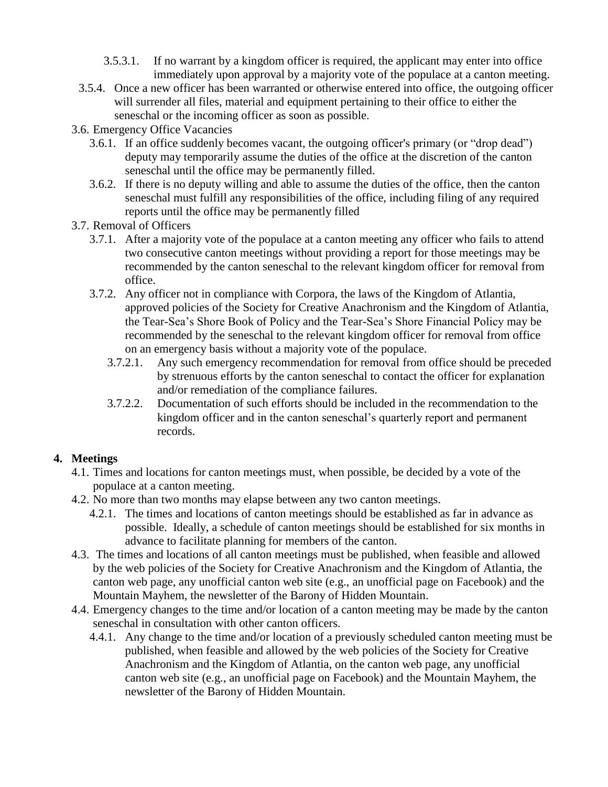- 3.5.3.1. If no warrant by a kingdom officer is required, the applicant may enter into office immediately upon approval by a majority vote of the populace at a canton meeting.
- 3.5.4. Once a new officer has been warranted or otherwise entered into office, the outgoing officer will surrender all files, material and equipment pertaining to their office to either the seneschal or the incoming officer as soon as possible.

#### 3.6. Emergency Office Vacancies

- 3.6.1. If an office suddenly becomes vacant, the outgoing officer's primary (or "drop dead") deputy may temporarily assume the duties of the office at the discretion of the canton seneschal until the office may be permanently filled.
- 3.6.2. If there is no deputy willing and able to assume the duties of the office, then the canton seneschal must fulfill any responsibilities of the office, including filing of any required reports until the office may be permanently filled
- 3.7. Removal of Officers
	- 3.7.1. After a majority vote of the populace at a canton meeting any officer who fails to attend two consecutive canton meetings without providing a report for those meetings may be recommended by the canton seneschal to the relevant kingdom officer for removal from office.
	- 3.7.2. Any officer not in compliance with Corpora, the laws of the Kingdom of Atlantia, approved policies of the Society for Creative Anachronism and the Kingdom of Atlantia, the Tear-Sea's Shore Book of Policy and the Tear-Sea's Shore Financial Policy may be recommended by the seneschal to the relevant kingdom officer for removal from office on an emergency basis without a majority vote of the populace.
		- 3.7.2.1. Any such emergency recommendation for removal from office should be preceded by strenuous efforts by the canton seneschal to contact the officer for explanation and/or remediation of the compliance failures.
		- 3.7.2.2. Documentation of such efforts should be included in the recommendation to the kingdom officer and in the canton seneschal's quarterly report and permanent records.

## **4. Meetings**

- 4.1. Times and locations for canton meetings must, when possible, be decided by a vote of the populace at a canton meeting.
- 4.2. No more than two months may elapse between any two canton meetings.
	- 4.2.1. The times and locations of canton meetings should be established as far in advance as possible. Ideally, a schedule of canton meetings should be established for six months in advance to facilitate planning for members of the canton.
- 4.3. The times and locations of all canton meetings must be published, when feasible and allowed by the web policies of the Society for Creative Anachronism and the Kingdom of Atlantia, the canton web page, any unofficial canton web site (e.g., an unofficial page on Facebook) and the Mountain Mayhem, the newsletter of the Barony of Hidden Mountain.
- 4.4. Emergency changes to the time and/or location of a canton meeting may be made by the canton seneschal in consultation with other canton officers.
	- 4.4.1. Any change to the time and/or location of a previously scheduled canton meeting must be published, when feasible and allowed by the web policies of the Society for Creative Anachronism and the Kingdom of Atlantia, on the canton web page, any unofficial canton web site (e.g., an unofficial page on Facebook) and the Mountain Mayhem, the newsletter of the Barony of Hidden Mountain.